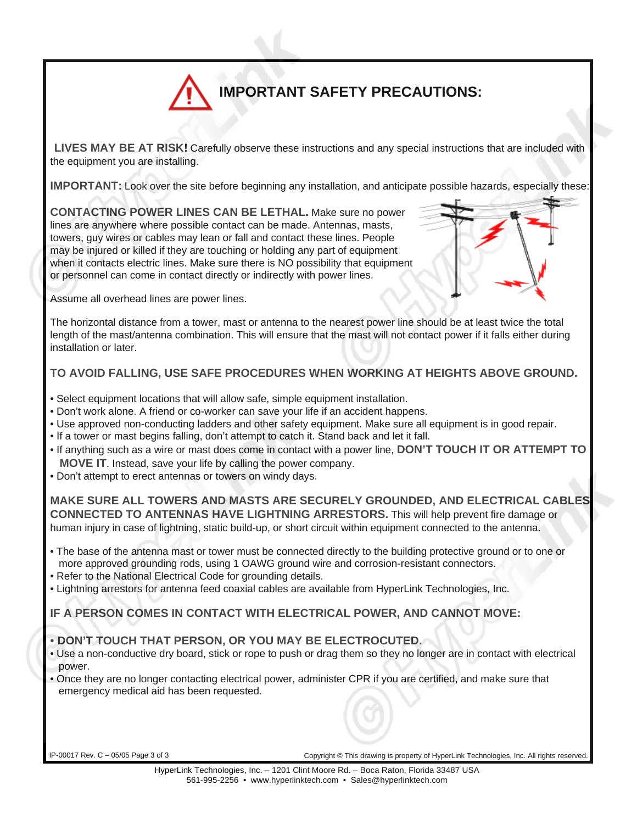# **IMPORTANT SAFETY PRECAUTIONS:**

**LIVES MAY BE AT RISK!** Carefully observe these instructions and any special instructions that are included with the equipment you are installing.

**IMPORTANT:** Look over the site before beginning any installation, and anticipate possible hazards, especially these:

**CONTACTING POWER LINES CAN BE LETHAL.** Make sure no power lines are anywhere where possible contact can be made. Antennas, masts, towers, guy wires or cables may lean or fall and contact these lines. People may be injured or killed if they are touching or holding any part of equipment when it contacts electric lines. Make sure there is NO possibility that equipment or personnel can come in contact directly or indirectly with power lines.

Assume all overhead lines are power lines.

The horizontal distance from a tower, mast or antenna to the nearest power line should be at least twice the total length of the mast/antenna combination. This will ensure that the mast will not contact power if it falls either during installation or later.

### **TO AVOID FALLING, USE SAFE PROCEDURES WHEN WORKING AT HEIGHTS ABOVE GROUND.**

- Select equipment locations that will allow safe, simple equipment installation.
- Don't work alone. A friend or co-worker can save your life if an accident happens.
- Use approved non-conducting ladders and other safety equipment. Make sure all equipment is in good repair.
- If a tower or mast begins falling, don't attempt to catch it. Stand back and let it fall.
- If anything such as a wire or mast does come in contact with a power line, **DON'T TOUCH IT OR ATTEMPT TO MOVE IT**. Instead, save your life by calling the power company.
- Don't attempt to erect antennas or towers on windy days.

**MAKE SURE ALL TOWERS AND MASTS ARE SECURELY GROUNDED, AND ELECTRICAL CABLES CONNECTED TO ANTENNAS HAVE LIGHTNING ARRESTORS.** This will help prevent fire damage or human injury in case of lightning, static build-up, or short circuit within equipment connected to the antenna.

- The base of the antenna mast or tower must be connected directly to the building protective ground or to one or more approved grounding rods, using 1 OAWG ground wire and corrosion-resistant connectors.
- Refer to the National Electrical Code for grounding details.
- Lightning arrestors for antenna feed coaxial cables are available from HyperLink Technologies, Inc.

#### **IF A PERSON COMES IN CONTACT WITH ELECTRICAL POWER, AND CANNOT MOVE:**

#### • **DON'T TOUCH THAT PERSON, OR YOU MAY BE ELECTROCUTED.**

- Use a non-conductive dry board, stick or rope to push or drag them so they no longer are in contact with electrical power.
- Once they are no longer contacting electrical power, administer CPR if you are certified, and make sure that emergency medical aid has been requested.

IP-00017 Rev. C – 05/05 Page 3 of 3 Copyright © This drawing is property of HyperLink Technologies, Inc. All rights reserved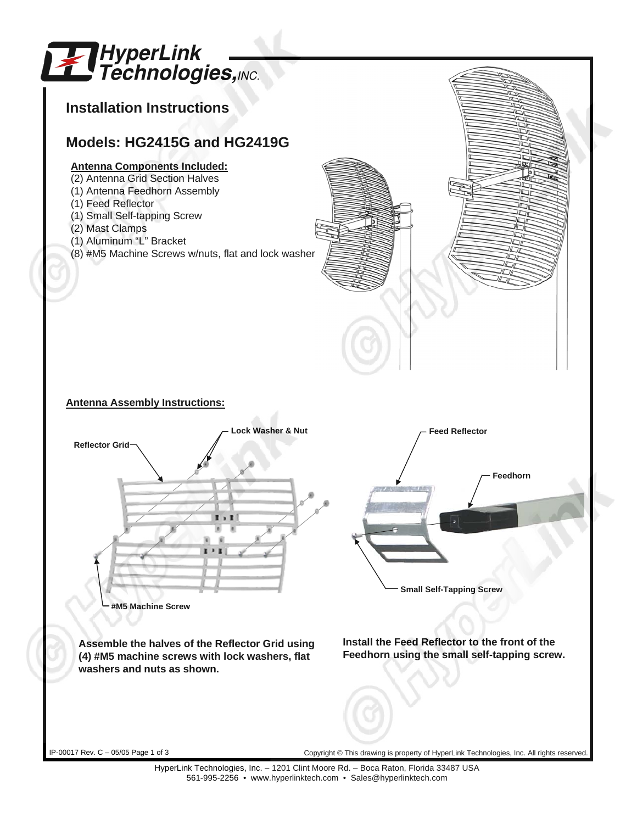

HyperLink Technologies, Inc. – 1201 Clint Moore Rd. – Boca Raton, Florida 33487 USA 561-995-2256 • www.hyperlinktech.com • Sales@hyperlinktech.com